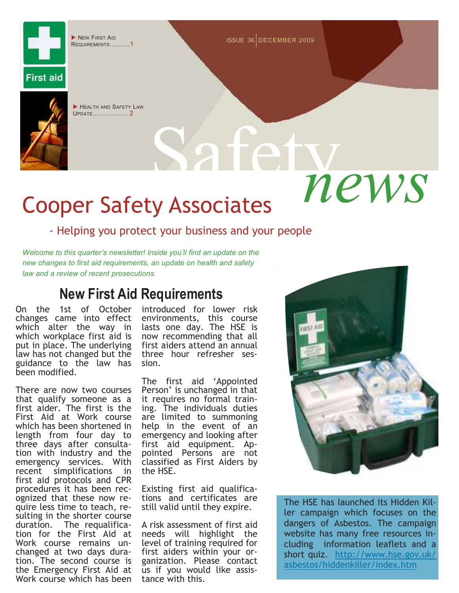REQUIREMENTS...........1

■ NEW FIRST AID 4 DECEMBER 2009 NEW FIRST AID



**First aid** 

HEALTH AND SAFETY LAW UPDATE....... 2

# $news$ Cooper Safety Associates

### - Helping you protect your business and your people

*Welcome to this quarter's newsletter! Inside you'll find an update on the new changes to first aid requirements, an update on health and safety law and a review of recent prosecutions.* 

# **New First Aid Requirements**

On the 1st of October changes came into effect which alter the way in which workplace first aid is put in place. The underlying law has not changed but the guidance to the law has been modified.

There are now two courses that qualify someone as a first aider. The first is the First Aid at Work course which has been shortened in length from four day to three days after consultation with industry and the emergency services. With recent simplifications in first aid protocols and CPR procedures it has been recognized that these now require less time to teach, resulting in the shorter course duration. The requalification for the First Aid at Work course remains unchanged at two days duration. The second course is the Emergency First Aid at Work course which has been

introduced for lower risk environments, this course lasts one day. The HSE is now recommending that all first aiders attend an annual three hour refresher session.

The first aid 'Appointed Person' is unchanged in that it requires no formal training. The individuals duties are limited to summoning help in the event of an emergency and looking after first aid equipment. Appointed Persons are not classified as First Aiders by the HSE.

Existing first aid qualifications and certificates are still valid until they expire.

A risk assessment of first aid needs will highlight the level of training required for first aiders within your organization. Please contact us if you would like assistance with this.



The HSE has launched its Hidden Killer campaign which focuses on the dangers of Asbestos. The campaign website has many free resources including information leaflets and a short quiz. http://www.hse.gov.uk/ asbestos/hiddenkiller/index.htm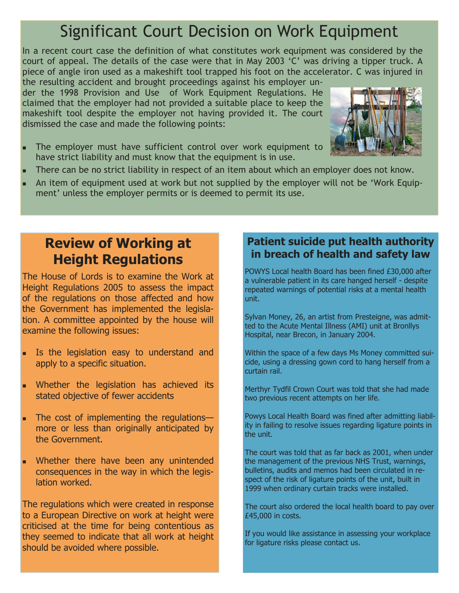# Significant Court Decision on Work Equipment

In a recent court case the definition of what constitutes work equipment was considered by the court of appeal. The details of the case were that in May 2003 'C' was driving a tipper truck. A piece of angle iron used as a makeshift tool trapped his foot on the accelerator. C was injured in

the resulting accident and brought proceedings against his employer under the 1998 Provision and Use of Work Equipment Regulations. He claimed that the employer had not provided a suitable place to keep the makeshift tool despite the employer not having provided it. The court dismissed the case and made the following points:



- The employer must have sufficient control over work equipment to have strict liability and must know that the equipment is in use.
- There can be no strict liability in respect of an item about which an employer does not know.
- An item of equipment used at work but not supplied by the employer will not be 'Work Equipment' unless the employer permits or is deemed to permit its use.

# **Review of Working at Height Regulations**

The House of Lords is to examine the Work at Height Regulations 2005 to assess the impact of the regulations on those affected and how the Government has implemented the legislation. A committee appointed by the house will examine the following issues:

- Is the legislation easy to understand and apply to a specific situation.
- Whether the legislation has achieved its stated objective of fewer accidents
- The cost of implementing the regulations more or less than originally anticipated by the Government.
- Whether there have been any unintended consequences in the way in which the legislation worked.

The regulations which were created in response to a European Directive on work at height were criticised at the time for being contentious as they seemed to indicate that all work at height should be avoided where possible.

## **Patient suicide put health authority in breach of health and safety law**

POWYS Local health Board has been fined £30,000 after a vulnerable patient in its care hanged herself - despite repeated warnings of potential risks at a mental health unit.

Sylvan Money, 26, an artist from Presteigne, was admitted to the Acute Mental Illness (AMI) unit at Bronllys Hospital, near Brecon, in January 2004.

Within the space of a few days Ms Money committed suicide, using a dressing gown cord to hang herself from a curtain rail.

Merthyr Tydfil Crown Court was told that she had made two previous recent attempts on her life.

Powys Local Health Board was fined after admitting liability in failing to resolve issues regarding ligature points in the unit.

The court was told that as far back as 2001, when under the management of the previous NHS Trust, warnings, bulletins, audits and memos had been circulated in respect of the risk of ligature points of the unit, built in 1999 when ordinary curtain tracks were installed.

The court also ordered the local health board to pay over £45,000 in costs.

If you would like assistance in assessing your workplace for ligature risks please contact us.